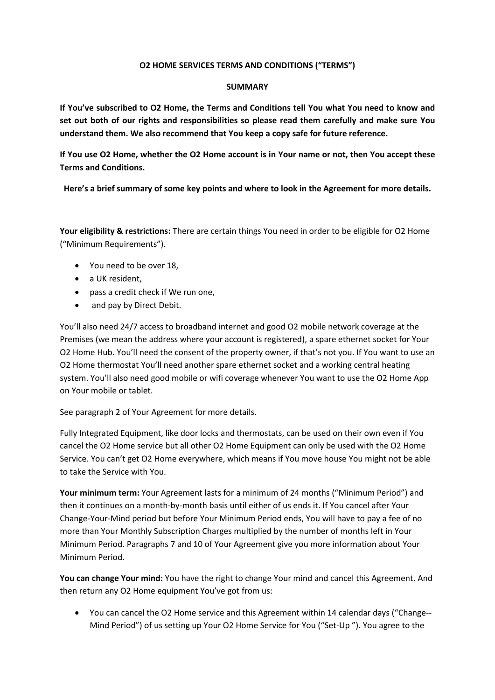#### **O2 HOME SERVICES TERMS AND CONDITIONS ("TERMS")**

#### **SUMMARY**

**If You've subscribed to O2 Home, the Terms and Conditions tell You what You need to know and set out both of our rights and responsibilities so please read them carefully and make sure You understand them. We also recommend that You keep a copy safe for future reference.** 

**If You use O2 Home, whether the O2 Home account is in Your name or not, then You accept these Terms and Conditions.** 

**Here's a brief summary of some key points and where to look in the Agreement for more details.**

**Your eligibility & restrictions:** There are certain things You need in order to be eligible for O2 Home ("Minimum Requirements").

- You need to be over 18,
- a UK resident.
- pass a credit check if We run one,
- and pay by Direct Debit.

You'll also need 24/7 access to broadband internet and good O2 mobile network coverage at the Premises (we mean the address where your account is registered), a spare ethernet socket for Your O2 Home Hub. You'll need the consent of the property owner, if that's not you. If You want to use an O2 Home thermostat You'll need another spare ethernet socket and a working central heating system. You'll also need good mobile or wifi coverage whenever You want to use the O2 Home App on Your mobile or tablet.

See paragraph 2 of Your Agreement for more details.

Fully Integrated Equipment, like door locks and thermostats, can be used on their own even if You cancel the O2 Home service but all other O2 Home Equipment can only be used with the O2 Home Service. You can't get O2 Home everywhere, which means if You move house You might not be able to take the Service with You.

**Your minimum term:** Your Agreement lasts for a minimum of 24 months ("Minimum Period") and then it continues on a month-by-month basis until either of us ends it. If You cancel after Your Change-Your-Mind period but before Your Minimum Period ends, You will have to pay a fee of no more than Your Monthly Subscription Charges multiplied by the number of months left in Your Minimum Period. Paragraphs 7 and 10 of Your Agreement give you more information about Your Minimum Period.

**You can change Your mind:** You have the right to change Your mind and cancel this Agreement. And then return any O2 Home equipment You've got from us:

 You can cancel the O2 Home service and this Agreement within 14 calendar days ("Change-- Mind Period") of us setting up Your O2 Home Service for You ("Set-Up "). You agree to the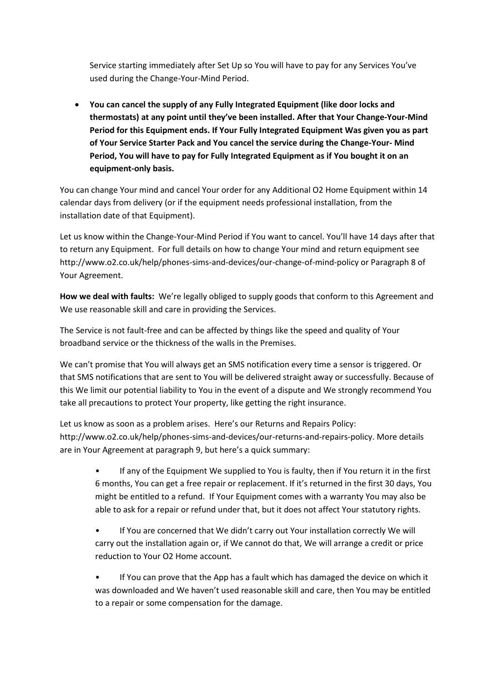Service starting immediately after Set Up so You will have to pay for any Services You've used during the Change-Your-Mind Period.

 **You can cancel the supply of any Fully Integrated Equipment (like door locks and thermostats) at any point until they've been installed. After that Your Change-Your-Mind Period for this Equipment ends. If Your Fully Integrated Equipment Was given you as part of Your Service Starter Pack and You cancel the service during the Change-Your- Mind Period, You will have to pay for Fully Integrated Equipment as if You bought it on an equipment-only basis.** 

You can change Your mind and cancel Your order for any Additional O2 Home Equipment within 14 calendar days from delivery (or if the equipment needs professional installation, from the installation date of that Equipment).

Let us know within the Change-Your-Mind Period if You want to cancel. You'll have 14 days after that to return any Equipment. For full details on how to change Your mind and return equipment see <http://www.o2.co.uk/help/phones-sims-and-devices/our-change-of-mind-policy> or Paragraph 8 of Your Agreement.

**How we deal with faults:** We're legally obliged to supply goods that conform to this Agreement and We use reasonable skill and care in providing the Services.

The Service is not fault-free and can be affected by things like the speed and quality of Your broadband service or the thickness of the walls in the Premises.

We can't promise that You will always get an SMS notification every time a sensor is triggered. Or that SMS notifications that are sent to You will be delivered straight away or successfully. Because of this We limit our potential liability to You in the event of a dispute and We strongly recommend You take all precautions to protect Your property, like getting the right insurance.

Let us know as soon as a problem arises. Here's our Returns and Repairs Policy: [http://www.o2.co.uk/help/phones-sims-and-devices/our-returns-and-repairs-policy.](http://www.o2.co.uk/help/phones-sims-and-devices/our-returns-and-repairs-policy) More details are in Your Agreement at paragraph 9, but here's a quick summary:

- If any of the Equipment We supplied to You is faulty, then if You return it in the first 6 months, You can get a free repair or replacement. If it's returned in the first 30 days, You might be entitled to a refund. If Your Equipment comes with a warranty You may also be able to ask for a repair or refund under that, but it does not affect Your statutory rights.
- If You are concerned that We didn't carry out Your installation correctly We will carry out the installation again or, if We cannot do that, We will arrange a credit or price reduction to Your O2 Home account.
- If You can prove that the App has a fault which has damaged the device on which it was downloaded and We haven't used reasonable skill and care, then You may be entitled to a repair or some compensation for the damage.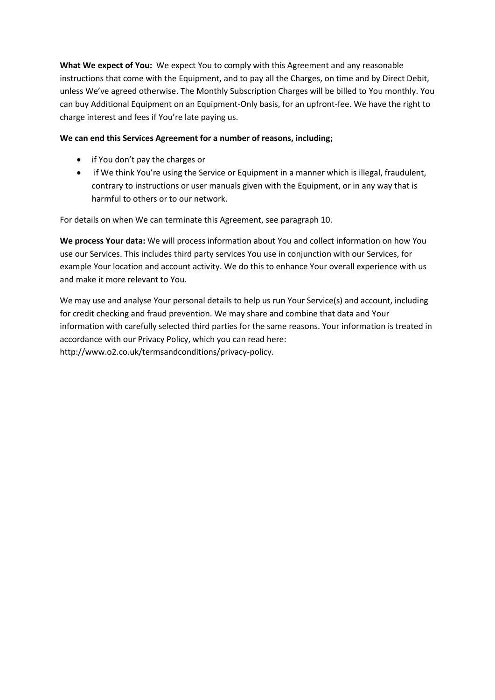**What We expect of You:** We expect You to comply with this Agreement and any reasonable instructions that come with the Equipment, and to pay all the Charges, on time and by Direct Debit, unless We've agreed otherwise. The Monthly Subscription Charges will be billed to You monthly. You can buy Additional Equipment on an Equipment-Only basis, for an upfront-fee. We have the right to charge interest and fees if You're late paying us.

# **We can end this Services Agreement for a number of reasons, including;**

- if You don't pay the charges or
- if We think You're using the Service or Equipment in a manner which is illegal, fraudulent, contrary to instructions or user manuals given with the Equipment, or in any way that is harmful to others or to our network.

For details on when We can terminate this Agreement, see paragraph 10.

**We process Your data:** We will process information about You and collect information on how You use our Services. This includes third party services You use in conjunction with our Services, for example Your location and account activity. We do this to enhance Your overall experience with us and make it more relevant to You.

We may use and analyse Your personal details to help us run Your Service(s) and account, including for credit checking and fraud prevention. We may share and combine that data and Your information with carefully selected third parties for the same reasons. Your information is treated in accordance with our Privacy Policy, which you can read here: http://www.o2.co.uk/termsandconditions/privacy-policy.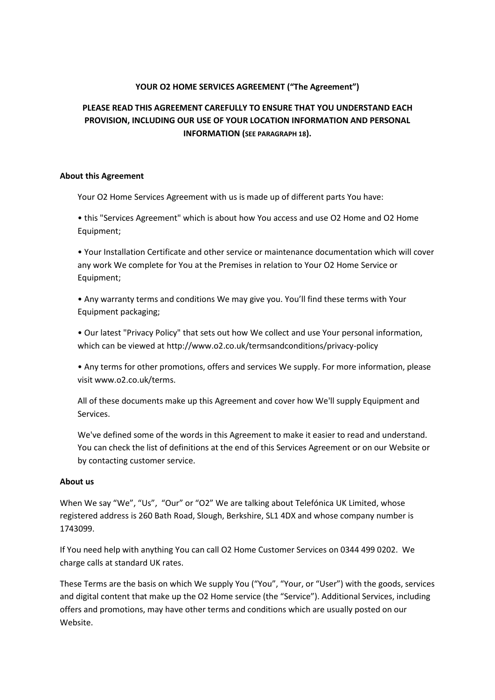# **YOUR O2 HOME SERVICES AGREEMENT ("The Agreement")**

# **PLEASE READ THIS AGREEMENT CAREFULLY TO ENSURE THAT YOU UNDERSTAND EACH PROVISION, INCLUDING OUR USE OF YOUR LOCATION INFORMATION AND PERSONAL INFORMATION (SEE PARAGRAPH 18).**

#### **About this Agreement**

Your O2 Home Services Agreement with us is made up of different parts You have:

• this "Services Agreement" which is about how You access and use O2 Home and O2 Home Equipment;

• Your Installation Certificate and other service or maintenance documentation which will cover any work We complete for You at the Premises in relation to Your O2 Home Service or Equipment;

• Any warranty terms and conditions We may give you. You'll find these terms with Your Equipment packaging;

• Our latest "Privacy Policy" that sets out how We collect and use Your personal information, which can be viewed at http://www.o2.co.uk/termsandconditions/privacy-policy

• Any terms for other promotions, offers and services We supply. For more information, please visit www.o2.co.uk/terms.

All of these documents make up this Agreement and cover how We'll supply Equipment and Services.

We've defined some of the words in this Agreement to make it easier to read and understand. You can check the list of definitions at the end of this Services Agreement or on our Website or by contacting customer service.

#### **About us**

When We say "We", "Us", "Our" or "O2" We are talking about Telefónica UK Limited, whose registered address is 260 Bath Road, Slough, Berkshire, SL1 4DX and whose company number is 1743099.

If You need help with anything You can call O2 Home Customer Services on 0344 499 0202. We charge calls at standard UK rates.

These Terms are the basis on which We supply You ("You", "Your, or "User") with the goods, services and digital content that make up the O2 Home service (the "Service"). Additional Services, including offers and promotions, may have other terms and conditions which are usually posted on our Website.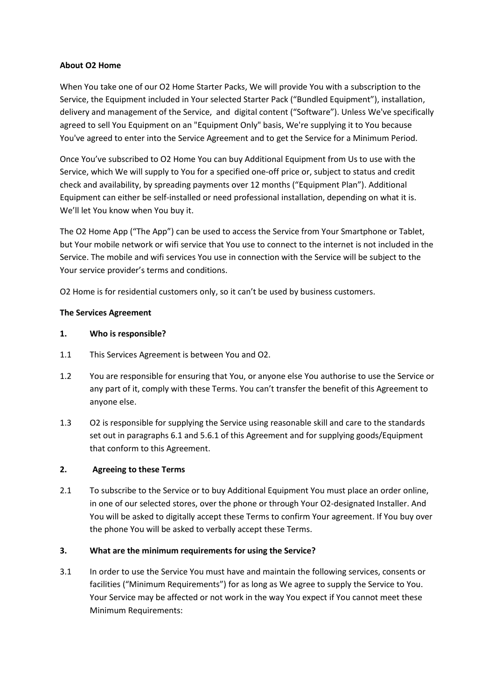# **About O2 Home**

When You take one of our O2 Home Starter Packs, We will provide You with a subscription to the Service, the Equipment included in Your selected Starter Pack ("Bundled Equipment"), installation, delivery and management of the Service, and digital content ("Software"). Unless We've specifically agreed to sell You Equipment on an "Equipment Only" basis, We're supplying it to You because You've agreed to enter into the Service Agreement and to get the Service for a Minimum Period.

Once You've subscribed to O2 Home You can buy Additional Equipment from Us to use with the Service, which We will supply to You for a specified one-off price or, subject to status and credit check and availability, by spreading payments over 12 months ("Equipment Plan"). Additional Equipment can either be self-installed or need professional installation, depending on what it is. We'll let You know when You buy it.

The O2 Home App ("The App") can be used to access the Service from Your Smartphone or Tablet, but Your mobile network or wifi service that You use to connect to the internet is not included in the Service. The mobile and wifi services You use in connection with the Service will be subject to the Your service provider's terms and conditions.

O2 Home is for residential customers only, so it can't be used by business customers.

# **The Services Agreement**

# **1. Who is responsible?**

- 1.1 This Services Agreement is between You and O2.
- 1.2 You are responsible for ensuring that You, or anyone else You authorise to use the Service or any part of it, comply with these Terms. You can't transfer the benefit of this Agreement to anyone else.
- 1.3 O2 is responsible for supplying the Service using reasonable skill and care to the standards set out in paragraphs 6.1 and 5.6.1 of this Agreement and for supplying goods/Equipment that conform to this Agreement.

#### **2. Agreeing to these Terms**

2.1 To subscribe to the Service or to buy Additional Equipment You must place an order online, in one of our selected stores, over the phone or through Your O2-designated Installer. And You will be asked to digitally accept these Terms to confirm Your agreement. If You buy over the phone You will be asked to verbally accept these Terms.

# **3. What are the minimum requirements for using the Service?**

3.1 In order to use the Service You must have and maintain the following services, consents or facilities ("Minimum Requirements") for as long as We agree to supply the Service to You. Your Service may be affected or not work in the way You expect if You cannot meet these Minimum Requirements: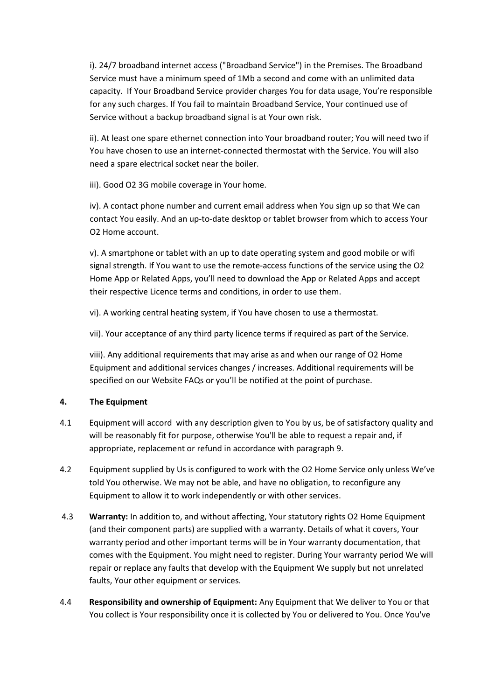i). 24/7 broadband internet access ("Broadband Service") in the Premises. The Broadband Service must have a minimum speed of 1Mb a second and come with an unlimited data capacity. If Your Broadband Service provider charges You for data usage, You're responsible for any such charges. If You fail to maintain Broadband Service, Your continued use of Service without a backup broadband signal is at Your own risk.

ii). At least one spare ethernet connection into Your broadband router; You will need two if You have chosen to use an internet-connected thermostat with the Service. You will also need a spare electrical socket near the boiler.

iii). Good O2 3G mobile coverage in Your home.

iv). A contact phone number and current email address when You sign up so that We can contact You easily. And an up-to-date desktop or tablet browser from which to access Your O2 Home account.

v). A smartphone or tablet with an up to date operating system and good mobile or wifi signal strength. If You want to use the remote-access functions of the service using the O2 Home App or Related Apps, you'll need to download the App or Related Apps and accept their respective Licence terms and conditions, in order to use them.

vi). A working central heating system, if You have chosen to use a thermostat.

vii). Your acceptance of any third party licence terms if required as part of the Service.

viii). Any additional requirements that may arise as and when our range of O2 Home Equipment and additional services changes / increases. Additional requirements will be specified on our Website FAQs or you'll be notified at the point of purchase.

# **4. The Equipment**

- 4.1 Equipment will accord with any description given to You by us, be of satisfactory quality and will be reasonably fit for purpose, otherwise You'll be able to request a repair and, if appropriate, replacement or refund in accordance with paragraph 9.
- 4.2 Equipment supplied by Us is configured to work with the O2 Home Service only unless We've told You otherwise. We may not be able, and have no obligation, to reconfigure any Equipment to allow it to work independently or with other services.
- 4.3 **Warranty:** In addition to, and without affecting, Your statutory rights O2 Home Equipment (and their component parts) are supplied with a warranty. Details of what it covers, Your warranty period and other important terms will be in Your warranty documentation, that comes with the Equipment. You might need to register. During Your warranty period We will repair or replace any faults that develop with the Equipment We supply but not unrelated faults, Your other equipment or services.
- 4.4 **Responsibility and ownership of Equipment:** Any Equipment that We deliver to You or that You collect is Your responsibility once it is collected by You or delivered to You. Once You've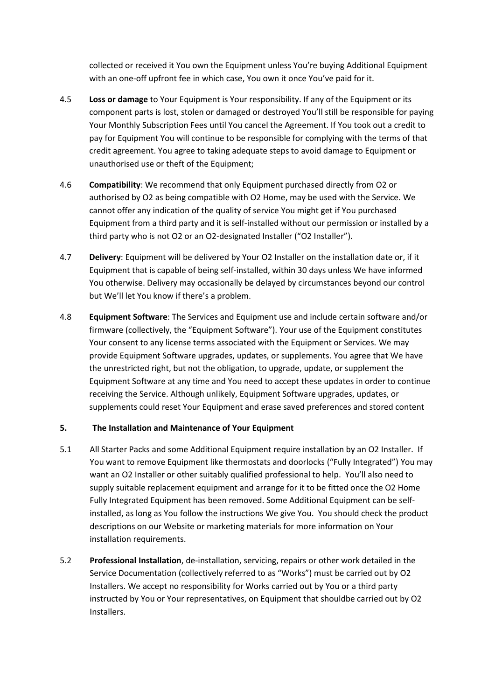collected or received it You own the Equipment unless You're buying Additional Equipment with an one-off upfront fee in which case, You own it once You've paid for it.

- 4.5 **Loss or damage** to Your Equipment is Your responsibility. If any of the Equipment or its component parts is lost, stolen or damaged or destroyed You'll still be responsible for paying Your Monthly Subscription Fees until You cancel the Agreement. If You took out a credit to pay for Equipment You will continue to be responsible for complying with the terms of that credit agreement. You agree to taking adequate steps to avoid damage to Equipment or unauthorised use or theft of the Equipment;
- 4.6 **Compatibility**: We recommend that only Equipment purchased directly from O2 or authorised by O2 as being compatible with O2 Home, may be used with the Service. We cannot offer any indication of the quality of service You might get if You purchased Equipment from a third party and it is self-installed without our permission or installed by a third party who is not O2 or an O2-designated Installer ("O2 Installer").
- 4.7 **Delivery**: Equipment will be delivered by Your O2 Installer on the installation date or, if it Equipment that is capable of being self-installed, within 30 days unless We have informed You otherwise. Delivery may occasionally be delayed by circumstances beyond our control but We'll let You know if there's a problem.
- 4.8 **Equipment Software**: The Services and Equipment use and include certain software and/or firmware (collectively, the "Equipment Software"). Your use of the Equipment constitutes Your consent to any license terms associated with the Equipment or Services. We may provide Equipment Software upgrades, updates, or supplements. You agree that We have the unrestricted right, but not the obligation, to upgrade, update, or supplement the Equipment Software at any time and You need to accept these updates in order to continue receiving the Service. Although unlikely, Equipment Software upgrades, updates, or supplements could reset Your Equipment and erase saved preferences and stored content

# **5. The Installation and Maintenance of Your Equipment**

- 5.1 All Starter Packs and some Additional Equipment require installation by an O2 Installer. If You want to remove Equipment like thermostats and doorlocks ("Fully Integrated") You may want an O2 Installer or other suitably qualified professional to help. You'll also need to supply suitable replacement equipment and arrange for it to be fitted once the O2 Home Fully Integrated Equipment has been removed. Some Additional Equipment can be selfinstalled, as long as You follow the instructions We give You. You should check the product descriptions on our Website or marketing materials for more information on Your installation requirements.
- 5.2 **Professional Installation**, de-installation, servicing, repairs or other work detailed in the Service Documentation (collectively referred to as "Works") must be carried out by O2 Installers. We accept no responsibility for Works carried out by You or a third party instructed by You or Your representatives, on Equipment that shouldbe carried out by O2 Installers.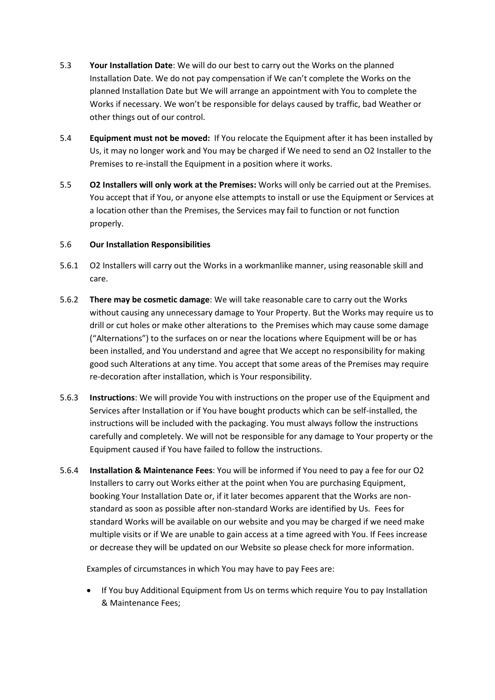- 5.3 **Your Installation Date**: We will do our best to carry out the Works on the planned Installation Date. We do not pay compensation if We can't complete the Works on the planned Installation Date but We will arrange an appointment with You to complete the Works if necessary. We won't be responsible for delays caused by traffic, bad Weather or other things out of our control.
- 5.4 **Equipment must not be moved:** If You relocate the Equipment after it has been installed by Us, it may no longer work and You may be charged if We need to send an O2 Installer to the Premises to re-install the Equipment in a position where it works.
- 5.5 **O2 Installers will only work at the Premises:** Works will only be carried out at the Premises. You accept that if You, or anyone else attempts to install or use the Equipment or Services at a location other than the Premises, the Services may fail to function or not function properly.

# 5.6 **Our Installation Responsibilities**

- 5.6.1 O2 Installers will carry out the Works in a workmanlike manner, using reasonable skill and care.
- 5.6.2 **There may be cosmetic damage**: We will take reasonable care to carry out the Works without causing any unnecessary damage to Your Property. But the Works may require us to drill or cut holes or make other alterations to the Premises which may cause some damage ("Alternations") to the surfaces on or near the locations where Equipment will be or has been installed, and You understand and agree that We accept no responsibility for making good such Alterations at any time. You accept that some areas of the Premises may require re-decoration after installation, which is Your responsibility.
- 5.6.3 **Instructions**: We will provide You with instructions on the proper use of the Equipment and Services after Installation or if You have bought products which can be self-installed, the instructions will be included with the packaging. You must always follow the instructions carefully and completely. We will not be responsible for any damage to Your property or the Equipment caused if You have failed to follow the instructions.
- 5.6.4 **Installation & Maintenance Fees**: You will be informed if You need to pay a fee for our O2 Installers to carry out Works either at the point when You are purchasing Equipment, booking Your Installation Date or, if it later becomes apparent that the Works are nonstandard as soon as possible after non-standard Works are identified by Us. Fees for standard Works will be available on our website and you may be charged if we need make multiple visits or if We are unable to gain access at a time agreed with You. If Fees increase or decrease they will be updated on our Website so please check for more information.

Examples of circumstances in which You may have to pay Fees are:

• If You buy Additional Equipment from Us on terms which require You to pay Installation & Maintenance Fees;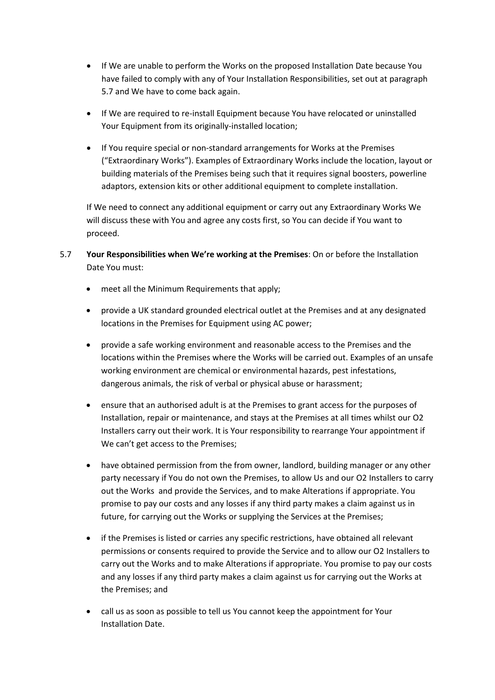- If We are unable to perform the Works on the proposed Installation Date because You have failed to comply with any of Your Installation Responsibilities, set out at paragraph 5.7 and We have to come back again.
- If We are required to re-install Equipment because You have relocated or uninstalled Your Equipment from its originally-installed location:
- If You require special or non-standard arrangements for Works at the Premises ("Extraordinary Works"). Examples of Extraordinary Works include the location, layout or building materials of the Premises being such that it requires signal boosters, powerline adaptors, extension kits or other additional equipment to complete installation.

If We need to connect any additional equipment or carry out any Extraordinary Works We will discuss these with You and agree any costs first, so You can decide if You want to proceed.

- 5.7 **Your Responsibilities when We're working at the Premises**: On or before the Installation Date You must:
	- meet all the Minimum Requirements that apply;
	- provide a UK standard grounded electrical outlet at the Premises and at any designated locations in the Premises for Equipment using AC power;
	- provide a safe working environment and reasonable access to the Premises and the locations within the Premises where the Works will be carried out. Examples of an unsafe working environment are chemical or environmental hazards, pest infestations, dangerous animals, the risk of verbal or physical abuse or harassment;
	- ensure that an authorised adult is at the Premises to grant access for the purposes of Installation, repair or maintenance, and stays at the Premises at all times whilst our O2 Installers carry out their work. It is Your responsibility to rearrange Your appointment if We can't get access to the Premises;
	- have obtained permission from the from owner, landlord, building manager or any other party necessary if You do not own the Premises, to allow Us and our O2 Installers to carry out the Works and provide the Services, and to make Alterations if appropriate. You promise to pay our costs and any losses if any third party makes a claim against us in future, for carrying out the Works or supplying the Services at the Premises;
	- if the Premises is listed or carries any specific restrictions, have obtained all relevant permissions or consents required to provide the Service and to allow our O2 Installers to carry out the Works and to make Alterations if appropriate. You promise to pay our costs and any losses if any third party makes a claim against us for carrying out the Works at the Premises; and
	- call us as soon as possible to tell us You cannot keep the appointment for Your Installation Date.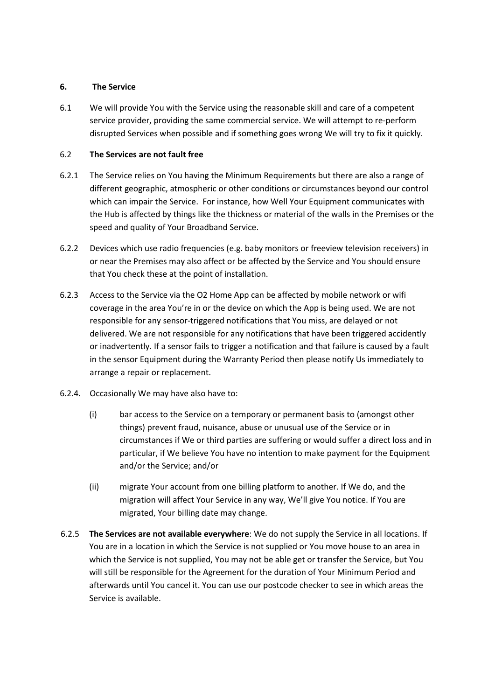# **6. The Service**

6.1 We will provide You with the Service using the reasonable skill and care of a competent service provider, providing the same commercial service. We will attempt to re-perform disrupted Services when possible and if something goes wrong We will try to fix it quickly.

# 6.2 **The Services are not fault free**

- 6.2.1 The Service relies on You having the Minimum Requirements but there are also a range of different geographic, atmospheric or other conditions or circumstances beyond our control which can impair the Service. For instance, how Well Your Equipment communicates with the Hub is affected by things like the thickness or material of the walls in the Premises or the speed and quality of Your Broadband Service.
- 6.2.2 Devices which use radio frequencies (e.g. baby monitors or freeview television receivers) in or near the Premises may also affect or be affected by the Service and You should ensure that You check these at the point of installation.
- 6.2.3 Access to the Service via the O2 Home App can be affected by mobile network or wifi coverage in the area You're in or the device on which the App is being used. We are not responsible for any sensor-triggered notifications that You miss, are delayed or not delivered. We are not responsible for any notifications that have been triggered accidently or inadvertently. If a sensor fails to trigger a notification and that failure is caused by a fault in the sensor Equipment during the Warranty Period then please notify Us immediately to arrange a repair or replacement.
- 6.2.4. Occasionally We may have also have to:
	- (i) bar access to the Service on a temporary or permanent basis to (amongst other things) prevent fraud, nuisance, abuse or unusual use of the Service or in circumstances if We or third parties are suffering or would suffer a direct loss and in particular, if We believe You have no intention to make payment for the Equipment and/or the Service; and/or
	- (ii) migrate Your account from one billing platform to another. If We do, and the migration will affect Your Service in any way, We'll give You notice. If You are migrated, Your billing date may change.
- 6.2.5 **The Services are not available everywhere**: We do not supply the Service in all locations. If You are in a location in which the Service is not supplied or You move house to an area in which the Service is not supplied, You may not be able get or transfer the Service, but You will still be responsible for the Agreement for the duration of Your Minimum Period and afterwards until You cancel it. You can use our postcode checker to see in which areas the Service is available.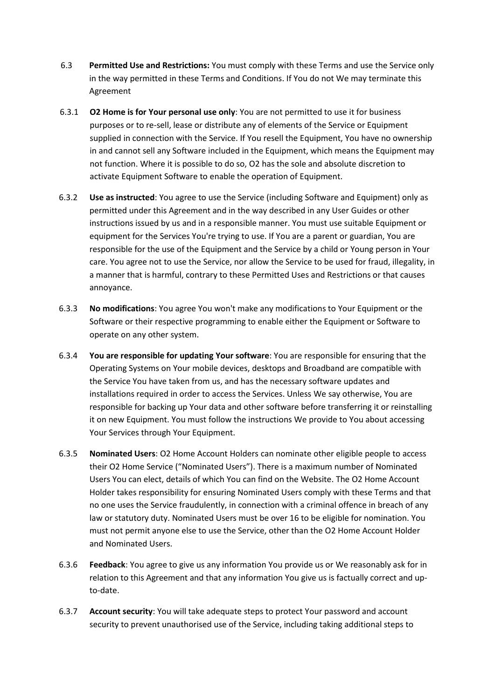- 6.3 **Permitted Use and Restrictions:** You must comply with these Terms and use the Service only in the way permitted in these Terms and Conditions. If You do not We may terminate this Agreement
- 6.3.1 **O2 Home is for Your personal use only**: You are not permitted to use it for business purposes or to re-sell, lease or distribute any of elements of the Service or Equipment supplied in connection with the Service. If You resell the Equipment, You have no ownership in and cannot sell any Software included in the Equipment, which means the Equipment may not function. Where it is possible to do so, O2 has the sole and absolute discretion to activate Equipment Software to enable the operation of Equipment.
- 6.3.2 **Use as instructed**: You agree to use the Service (including Software and Equipment) only as permitted under this Agreement and in the way described in any User Guides or other instructions issued by us and in a responsible manner. You must use suitable Equipment or equipment for the Services You're trying to use. If You are a parent or guardian, You are responsible for the use of the Equipment and the Service by a child or Young person in Your care. You agree not to use the Service, nor allow the Service to be used for fraud, illegality, in a manner that is harmful, contrary to these Permitted Uses and Restrictions or that causes annoyance.
- 6.3.3 **No modifications**: You agree You won't make any modifications to Your Equipment or the Software or their respective programming to enable either the Equipment or Software to operate on any other system.
- 6.3.4 **You are responsible for updating Your software**: You are responsible for ensuring that the Operating Systems on Your mobile devices, desktops and Broadband are compatible with the Service You have taken from us, and has the necessary software updates and installations required in order to access the Services. Unless We say otherwise, You are responsible for backing up Your data and other software before transferring it or reinstalling it on new Equipment. You must follow the instructions We provide to You about accessing Your Services through Your Equipment.
- 6.3.5 **Nominated Users**: O2 Home Account Holders can nominate other eligible people to access their O2 Home Service ("Nominated Users"). There is a maximum number of Nominated Users You can elect, details of which You can find on the Website. The O2 Home Account Holder takes responsibility for ensuring Nominated Users comply with these Terms and that no one uses the Service fraudulently, in connection with a criminal offence in breach of any law or statutory duty. Nominated Users must be over 16 to be eligible for nomination. You must not permit anyone else to use the Service, other than the O2 Home Account Holder and Nominated Users.
- 6.3.6 **Feedback**: You agree to give us any information You provide us or We reasonably ask for in relation to this Agreement and that any information You give us is factually correct and upto-date.
- 6.3.7 **Account security**: You will take adequate steps to protect Your password and account security to prevent unauthorised use of the Service, including taking additional steps to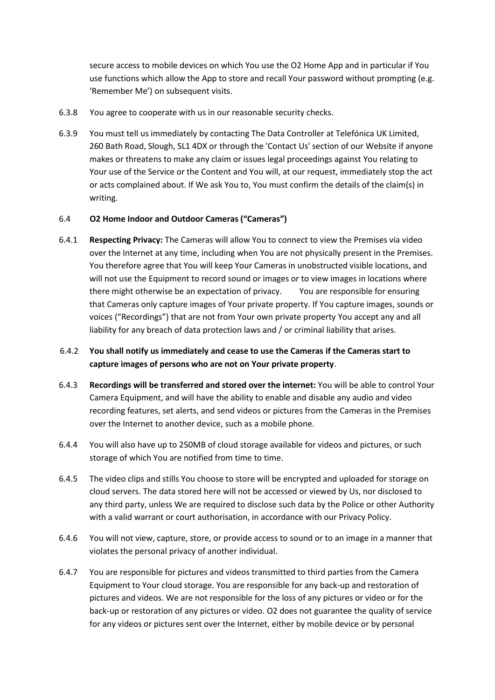secure access to mobile devices on which You use the O2 Home App and in particular if You use functions which allow the App to store and recall Your password without prompting (e.g. 'Remember Me') on subsequent visits.

- 6.3.8 You agree to cooperate with us in our reasonable security checks.
- 6.3.9 You must tell us immediately by contacting The Data Controller at Telefónica UK Limited, 260 Bath Road, Slough, SL1 4DX or through the 'Contact Us' section of our Website if anyone makes or threatens to make any claim or issues legal proceedings against You relating to Your use of the Service or the Content and You will, at our request, immediately stop the act or acts complained about. If We ask You to, You must confirm the details of the claim(s) in writing.

### 6.4 **O2 Home Indoor and Outdoor Cameras ("Cameras")**

- 6.4.1 **Respecting Privacy:** The Cameras will allow You to connect to view the Premises via video over the Internet at any time, including when You are not physically present in the Premises. You therefore agree that You will keep Your Cameras in unobstructed visible locations, and will not use the Equipment to record sound or images or to view images in locations where there might otherwise be an expectation of privacy. You are responsible for ensuring that Cameras only capture images of Your private property. If You capture images, sounds or voices ("Recordings") that are not from Your own private property You accept any and all liability for any breach of data protection laws and / or criminal liability that arises.
- 6.4.2 **You shall notify us immediately and cease to use the Cameras if the Cameras start to capture images of persons who are not on Your private property**.
- 6.4.3 **Recordings will be transferred and stored over the internet:** You will be able to control Your Camera Equipment, and will have the ability to enable and disable any audio and video recording features, set alerts, and send videos or pictures from the Cameras in the Premises over the Internet to another device, such as a mobile phone.
- 6.4.4 You will also have up to 250MB of cloud storage available for videos and pictures, or such storage of which You are notified from time to time.
- 6.4.5 The video clips and stills You choose to store will be encrypted and uploaded for storage on cloud servers. The data stored here will not be accessed or viewed by Us, nor disclosed to any third party, unless We are required to disclose such data by the Police or other Authority with a valid warrant or court authorisation, in accordance with our Privacy Policy.
- 6.4.6 You will not view, capture, store, or provide access to sound or to an image in a manner that violates the personal privacy of another individual.
- 6.4.7 You are responsible for pictures and videos transmitted to third parties from the Camera Equipment to Your cloud storage. You are responsible for any back-up and restoration of pictures and videos. We are not responsible for the loss of any pictures or video or for the back-up or restoration of any pictures or video. O2 does not guarantee the quality of service for any videos or pictures sent over the Internet, either by mobile device or by personal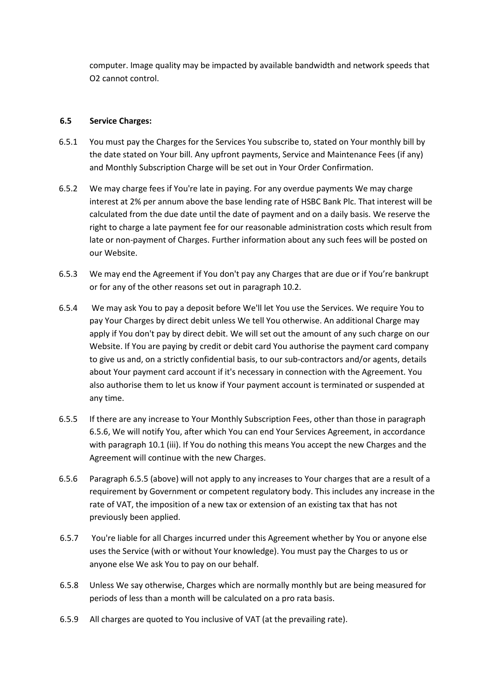computer. Image quality may be impacted by available bandwidth and network speeds that O2 cannot control.

# **6.5 Service Charges:**

- 6.5.1 You must pay the Charges for the Services You subscribe to, stated on Your monthly bill by the date stated on Your bill. Any upfront payments, Service and Maintenance Fees (if any) and Monthly Subscription Charge will be set out in Your Order Confirmation.
- 6.5.2 We may charge fees if You're late in paying. For any overdue payments We may charge interest at 2% per annum above the base lending rate of HSBC Bank Plc. That interest will be calculated from the due date until the date of payment and on a daily basis. We reserve the right to charge a late payment fee for our reasonable administration costs which result from late or non-payment of Charges. Further information about any such fees will be posted on our Website.
- 6.5.3 We may end the Agreement if You don't pay any Charges that are due or if You're bankrupt or for any of the other reasons set out in paragraph 10.2.
- 6.5.4 We may ask You to pay a deposit before We'll let You use the Services. We require You to pay Your Charges by direct debit unless We tell You otherwise. An additional Charge may apply if You don't pay by direct debit. We will set out the amount of any such charge on our Website. If You are paying by credit or debit card You authorise the payment card company to give us and, on a strictly confidential basis, to our sub-contractors and/or agents, details about Your payment card account if it's necessary in connection with the Agreement. You also authorise them to let us know if Your payment account is terminated or suspended at any time.
- 6.5.5 If there are any increase to Your Monthly Subscription Fees, other than those in paragraph 6.5.6, We will notify You, after which You can end Your Services Agreement, in accordance with paragraph 10.1 (iii). If You do nothing this means You accept the new Charges and the Agreement will continue with the new Charges.
- 6.5.6 Paragraph 6.5.5 (above) will not apply to any increases to Your charges that are a result of a requirement by Government or competent regulatory body. This includes any increase in the rate of VAT, the imposition of a new tax or extension of an existing tax that has not previously been applied.
- 6.5.7 You're liable for all Charges incurred under this Agreement whether by You or anyone else uses the Service (with or without Your knowledge). You must pay the Charges to us or anyone else We ask You to pay on our behalf.
- 6.5.8 Unless We say otherwise, Charges which are normally monthly but are being measured for periods of less than a month will be calculated on a pro rata basis.
- 6.5.9 All charges are quoted to You inclusive of VAT (at the prevailing rate).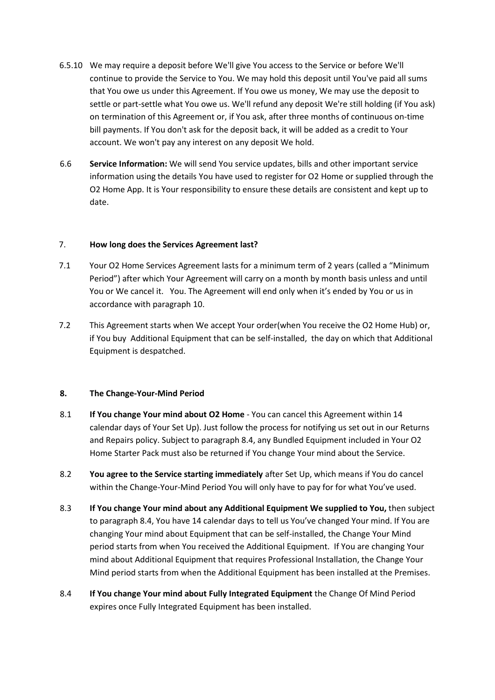- 6.5.10 We may require a deposit before We'll give You access to the Service or before We'll continue to provide the Service to You. We may hold this deposit until You've paid all sums that You owe us under this Agreement. If You owe us money, We may use the deposit to settle or part-settle what You owe us. We'll refund any deposit We're still holding (if You ask) on termination of this Agreement or, if You ask, after three months of continuous on-time bill payments. If You don't ask for the deposit back, it will be added as a credit to Your account. We won't pay any interest on any deposit We hold.
- 6.6 **Service Information:** We will send You service updates, bills and other important service information using the details You have used to register for O2 Home or supplied through the O2 Home App. It is Your responsibility to ensure these details are consistent and kept up to date.

# 7. **How long does the Services Agreement last?**

- 7.1 Your O2 Home Services Agreement lasts for a minimum term of 2 years (called a "Minimum Period") after which Your Agreement will carry on a month by month basis unless and until You or We cancel it. You. The Agreement will end only when it's ended by You or us in accordance with paragraph 10.
- 7.2 This Agreement starts when We accept Your order(when You receive the O2 Home Hub) or, if You buy Additional Equipment that can be self-installed, the day on which that Additional Equipment is despatched.

#### **8. The Change-Your-Mind Period**

- 8.1 **If You change Your mind about O2 Home**  You can cancel this Agreement within 14 calendar days of Your Set Up). Just follow the process for notifying us set out in our Returns and Repairs policy. Subject to paragraph 8.4, any Bundled Equipment included in Your O2 Home Starter Pack must also be returned if You change Your mind about the Service.
- 8.2 **You agree to the Service starting immediately** after Set Up, which means if You do cancel within the Change-Your-Mind Period You will only have to pay for for what You've used.
- 8.3 **If You change Your mind about any Additional Equipment We supplied to You,** then subject to paragraph 8.4, You have 14 calendar days to tell us You've changed Your mind. If You are changing Your mind about Equipment that can be self-installed, the Change Your Mind period starts from when You received the Additional Equipment. If You are changing Your mind about Additional Equipment that requires Professional Installation, the Change Your Mind period starts from when the Additional Equipment has been installed at the Premises.
- 8.4 **If You change Your mind about Fully Integrated Equipment** the Change Of Mind Period expires once Fully Integrated Equipment has been installed.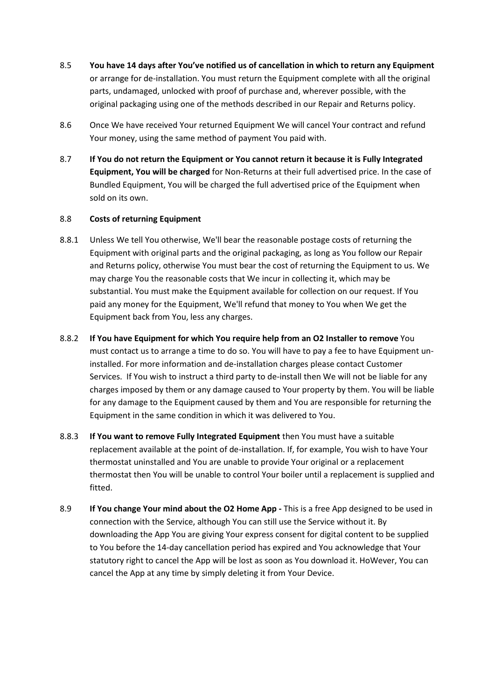- 8.5 **You have 14 days after You've notified us of cancellation in which to return any Equipment** or arrange for de-installation. You must return the Equipment complete with all the original parts, undamaged, unlocked with proof of purchase and, wherever possible, with the original packaging using one of the methods described in our Repair and Returns policy.
- 8.6 Once We have received Your returned Equipment We will cancel Your contract and refund Your money, using the same method of payment You paid with.
- 8.7 **If You do not return the Equipment or You cannot return it because it is Fully Integrated Equipment, You will be charged** for Non-Returns at their full advertised price. In the case of Bundled Equipment, You will be charged the full advertised price of the Equipment when sold on its own.

# 8.8 **Costs of returning Equipment**

- 8.8.1 Unless We tell You otherwise, We'll bear the reasonable postage costs of returning the Equipment with original parts and the original packaging, as long as You follow our Repair and Returns policy, otherwise You must bear the cost of returning the Equipment to us. We may charge You the reasonable costs that We incur in collecting it, which may be substantial. You must make the Equipment available for collection on our request. If You paid any money for the Equipment, We'll refund that money to You when We get the Equipment back from You, less any charges.
- 8.8.2 **If You have Equipment for which You require help from an O2 Installer to remove** You must contact us to arrange a time to do so. You will have to pay a fee to have Equipment uninstalled. For more information and de-installation charges please contact Customer Services. If You wish to instruct a third party to de-install then We will not be liable for any charges imposed by them or any damage caused to Your property by them. You will be liable for any damage to the Equipment caused by them and You are responsible for returning the Equipment in the same condition in which it was delivered to You.
- 8.8.3 **If You want to remove Fully Integrated Equipment** then You must have a suitable replacement available at the point of de-installation. If, for example, You wish to have Your thermostat uninstalled and You are unable to provide Your original or a replacement thermostat then You will be unable to control Your boiler until a replacement is supplied and fitted.
- 8.9 **If You change Your mind about the O2 Home App -** This is a free App designed to be used in connection with the Service, although You can still use the Service without it. By downloading the App You are giving Your express consent for digital content to be supplied to You before the 14-day cancellation period has expired and You acknowledge that Your statutory right to cancel the App will be lost as soon as You download it. HoWever, You can cancel the App at any time by simply deleting it from Your Device.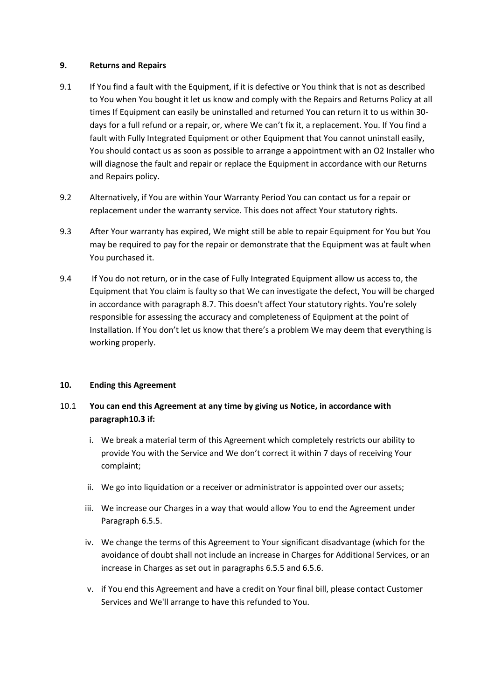### **9. Returns and Repairs**

- 9.1 If You find a fault with the Equipment, if it is defective or You think that is not as described to You when You bought it let us know and comply with the Repairs and Returns Policy at all times If Equipment can easily be uninstalled and returned You can return it to us within 30 days for a full refund or a repair, or, where We can't fix it, a replacement. You. If You find a fault with Fully Integrated Equipment or other Equipment that You cannot uninstall easily, You should contact us as soon as possible to arrange a appointment with an O2 Installer who will diagnose the fault and repair or replace the Equipment in accordance with our Returns and Repairs policy.
- 9.2 Alternatively, if You are within Your Warranty Period You can contact us for a repair or replacement under the warranty service. This does not affect Your statutory rights.
- 9.3 After Your warranty has expired, We might still be able to repair Equipment for You but You may be required to pay for the repair or demonstrate that the Equipment was at fault when You purchased it.
- 9.4 If You do not return, or in the case of Fully Integrated Equipment allow us access to, the Equipment that You claim is faulty so that We can investigate the defect, You will be charged in accordance with paragraph 8.7. This doesn't affect Your statutory rights. You're solely responsible for assessing the accuracy and completeness of Equipment at the point of Installation. If You don't let us know that there's a problem We may deem that everything is working properly.

# **10. Ending this Agreement**

# 10.1 **You can end this Agreement at any time by giving us Notice, in accordance with paragraph10.3 if:**

- i. We break a material term of this Agreement which completely restricts our ability to provide You with the Service and We don't correct it within 7 days of receiving Your complaint;
- ii. We go into liquidation or a receiver or administrator is appointed over our assets;
- iii. We increase our Charges in a way that would allow You to end the Agreement under Paragraph 6.5.5.
- iv. We change the terms of this Agreement to Your significant disadvantage (which for the avoidance of doubt shall not include an increase in Charges for Additional Services, or an increase in Charges as set out in paragraphs 6.5.5 and 6.5.6.
- v. if You end this Agreement and have a credit on Your final bill, please contact Customer Services and We'll arrange to have this refunded to You.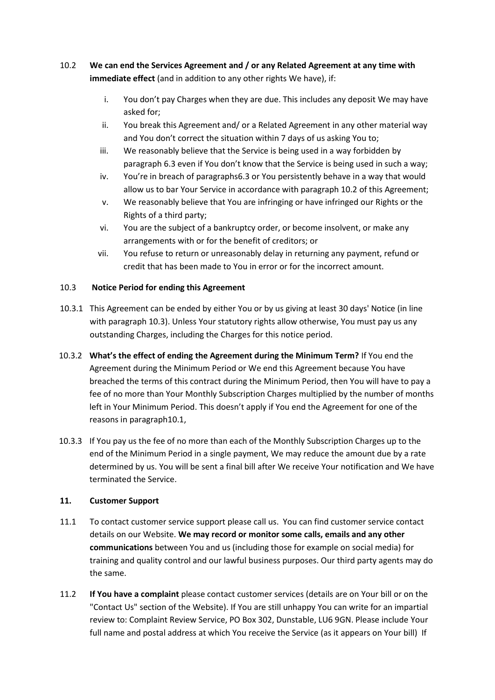# 10.2 **We can end the Services Agreement and / or any Related Agreement at any time with immediate effect** (and in addition to any other rights We have), if:

- i. You don't pay Charges when they are due. This includes any deposit We may have asked for;
- ii. You break this Agreement and/ or a Related Agreement in any other material way and You don't correct the situation within 7 days of us asking You to;
- iii. We reasonably believe that the Service is being used in a way forbidden by paragraph 6.3 even if You don't know that the Service is being used in such a way;
- iv. You're in breach of paragraphs6.3 or You persistently behave in a way that would allow us to bar Your Service in accordance with paragraph 10.2 of this Agreement;
- v. We reasonably believe that You are infringing or have infringed our Rights or the Rights of a third party;
- vi. You are the subject of a bankruptcy order, or become insolvent, or make any arrangements with or for the benefit of creditors; or
- vii. You refuse to return or unreasonably delay in returning any payment, refund or credit that has been made to You in error or for the incorrect amount.

# 10.3 **Notice Period for ending this Agreement**

- 10.3.1 This Agreement can be ended by either You or by us giving at least 30 days' Notice (in line with paragraph 10.3). Unless Your statutory rights allow otherwise, You must pay us any outstanding Charges, including the Charges for this notice period.
- 10.3.2 **What's the effect of ending the Agreement during the Minimum Term?** If You end the Agreement during the Minimum Period or We end this Agreement because You have breached the terms of this contract during the Minimum Period, then You will have to pay a fee of no more than Your Monthly Subscription Charges multiplied by the number of months left in Your Minimum Period. This doesn't apply if You end the Agreement for one of the reasons in paragraph10.1,
- 10.3.3 If You pay us the fee of no more than each of the Monthly Subscription Charges up to the end of the Minimum Period in a single payment, We may reduce the amount due by a rate determined by us. You will be sent a final bill after We receive Your notification and We have terminated the Service.

# **11. Customer Support**

- 11.1 To contact customer service support please call us. You can find customer service contact details on our Website. **We may record or monitor some calls, emails and any other communications** between You and us (including those for example on social media) for training and quality control and our lawful business purposes. Our third party agents may do the same.
- 11.2 **If You have a complaint** please contact customer services (details are on Your bill or on the "Contact Us" section of the Website). If You are still unhappy You can write for an impartial review to: Complaint Review Service, PO Box 302, Dunstable, LU6 9GN. Please include Your full name and postal address at which You receive the Service (as it appears on Your bill) If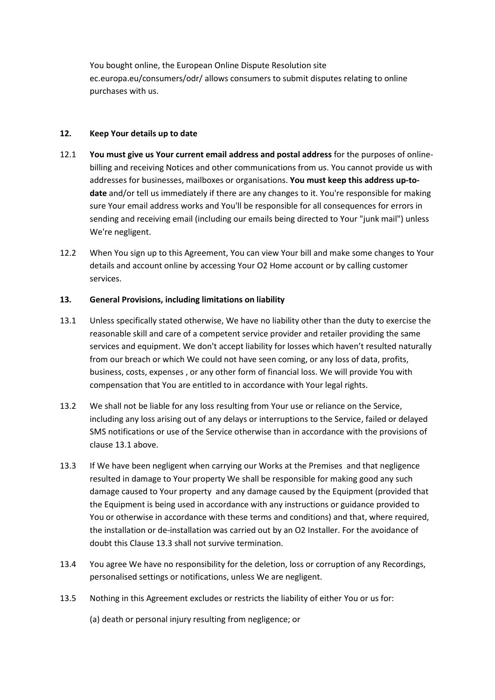You bought online, the European Online Dispute Resolution site ec.europa.eu/consumers/odr/ allows consumers to submit disputes relating to online purchases with us.

# **12. Keep Your details up to date**

- 12.1 **You must give us Your current email address and postal address** for the purposes of onlinebilling and receiving Notices and other communications from us. You cannot provide us with addresses for businesses, mailboxes or organisations. **You must keep this address up-todate** and/or tell us immediately if there are any changes to it. You're responsible for making sure Your email address works and You'll be responsible for all consequences for errors in sending and receiving email (including our emails being directed to Your "junk mail") unless We're negligent.
- 12.2 When You sign up to this Agreement, You can view Your bill and make some changes to Your details and account online by accessing Your O2 Home account or by calling customer services.

# **13. General Provisions, including limitations on liability**

- 13.1 Unless specifically stated otherwise, We have no liability other than the duty to exercise the reasonable skill and care of a competent service provider and retailer providing the same services and equipment. We don't accept liability for losses which haven't resulted naturally from our breach or which We could not have seen coming, or any loss of data, profits, business, costs, expenses , or any other form of financial loss. We will provide You with compensation that You are entitled to in accordance with Your legal rights.
- 13.2 We shall not be liable for any loss resulting from Your use or reliance on the Service, including any loss arising out of any delays or interruptions to the Service, failed or delayed SMS notifications or use of the Service otherwise than in accordance with the provisions of clause 13.1 above.
- 13.3 If We have been negligent when carrying our Works at the Premises and that negligence resulted in damage to Your property We shall be responsible for making good any such damage caused to Your property and any damage caused by the Equipment (provided that the Equipment is being used in accordance with any instructions or guidance provided to You or otherwise in accordance with these terms and conditions) and that, where required, the installation or de-installation was carried out by an O2 Installer. For the avoidance of doubt this Clause 13.3 shall not survive termination.
- 13.4 You agree We have no responsibility for the deletion, loss or corruption of any Recordings, personalised settings or notifications, unless We are negligent.
- 13.5 Nothing in this Agreement excludes or restricts the liability of either You or us for:
	- (a) death or personal injury resulting from negligence; or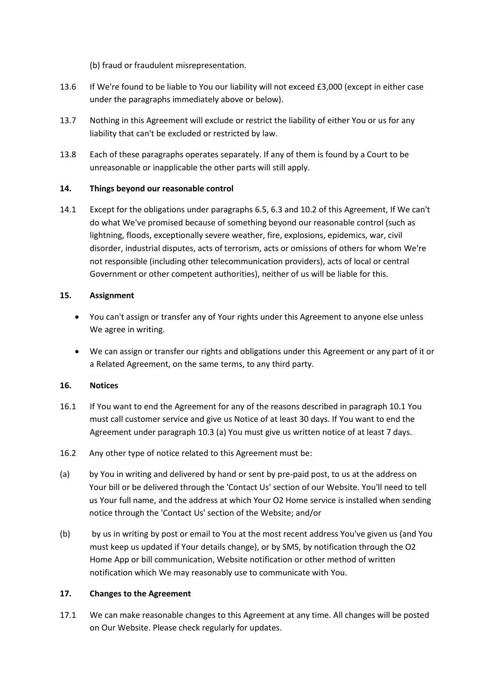(b) fraud or fraudulent misrepresentation.

- 13.6 If We're found to be liable to You our liability will not exceed £3,000 (except in either case under the paragraphs immediately above or below).
- 13.7 Nothing in this Agreement will exclude or restrict the liability of either You or us for any liability that can't be excluded or restricted by law.
- 13.8 Each of these paragraphs operates separately. If any of them is found by a Court to be unreasonable or inapplicable the other parts will still apply.

# **14. Things beyond our reasonable control**

14.1 Except for the obligations under paragraphs 6.5, 6.3 and 10.2 of this Agreement, If We can't do what We've promised because of something beyond our reasonable control (such as lightning, floods, exceptionally severe weather, fire, explosions, epidemics, war, civil disorder, industrial disputes, acts of terrorism, acts or omissions of others for whom We're not responsible (including other telecommunication providers), acts of local or central Government or other competent authorities), neither of us will be liable for this.

# **15. Assignment**

- You can't assign or transfer any of Your rights under this Agreement to anyone else unless We agree in writing.
- We can assign or transfer our rights and obligations under this Agreement or any part of it or a Related Agreement, on the same terms, to any third party.

# **16. Notices**

- 16.1 If You want to end the Agreement for any of the reasons described in paragraph 10.1 You must call customer service and give us Notice of at least 30 days. If You want to end the Agreement under paragraph 10.3 (a) You must give us written notice of at least 7 days.
- 16.2 Any other type of notice related to this Agreement must be:
- (a) by You in writing and delivered by hand or sent by pre-paid post, to us at the address on Your bill or be delivered through the 'Contact Us' section of our Website. You'll need to tell us Your full name, and the address at which Your O2 Home service is installed when sending notice through the 'Contact Us' section of the Website; and/or
- (b) by us in writing by post or email to You at the most recent address You've given us (and You must keep us updated if Your details change), or by SMS, by notification through the O2 Home App or bill communication, Website notification or other method of written notification which We may reasonably use to communicate with You.

#### **17. Changes to the Agreement**

17.1 We can make reasonable changes to this Agreement at any time. All changes will be posted on Our Website. Please check regularly for updates.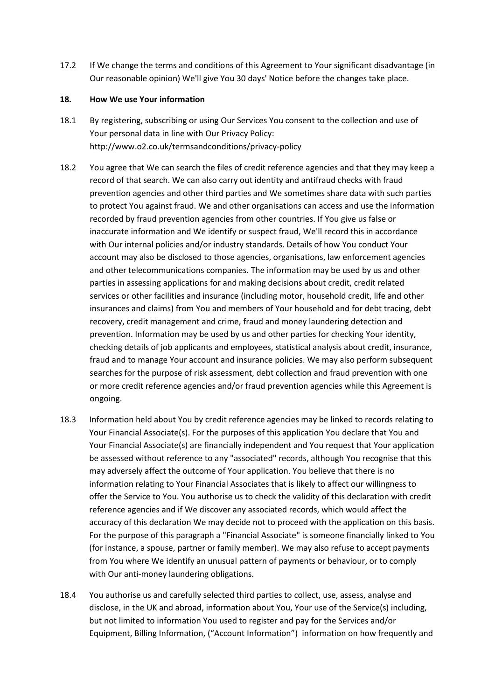17.2 If We change the terms and conditions of this Agreement to Your significant disadvantage (in Our reasonable opinion) We'll give You 30 days' Notice before the changes take place.

### **18. How We use Your information**

- 18.1 By registering, subscribing or using Our Services You consent to the collection and use of Your personal data in line with Our Privacy Policy: http://www.o2.co.uk/termsandconditions/privacy-policy
- 18.2 You agree that We can search the files of credit reference agencies and that they may keep a record of that search. We can also carry out identity and antifraud checks with fraud prevention agencies and other third parties and We sometimes share data with such parties to protect You against fraud. We and other organisations can access and use the information recorded by fraud prevention agencies from other countries. If You give us false or inaccurate information and We identify or suspect fraud, We'll record this in accordance with Our internal policies and/or industry standards. Details of how You conduct Your account may also be disclosed to those agencies, organisations, law enforcement agencies and other telecommunications companies. The information may be used by us and other parties in assessing applications for and making decisions about credit, credit related services or other facilities and insurance (including motor, household credit, life and other insurances and claims) from You and members of Your household and for debt tracing, debt recovery, credit management and crime, fraud and money laundering detection and prevention. Information may be used by us and other parties for checking Your identity, checking details of job applicants and employees, statistical analysis about credit, insurance, fraud and to manage Your account and insurance policies. We may also perform subsequent searches for the purpose of risk assessment, debt collection and fraud prevention with one or more credit reference agencies and/or fraud prevention agencies while this Agreement is ongoing.
- 18.3 Information held about You by credit reference agencies may be linked to records relating to Your Financial Associate(s). For the purposes of this application You declare that You and Your Financial Associate(s) are financially independent and You request that Your application be assessed without reference to any "associated" records, although You recognise that this may adversely affect the outcome of Your application. You believe that there is no information relating to Your Financial Associates that is likely to affect our willingness to offer the Service to You. You authorise us to check the validity of this declaration with credit reference agencies and if We discover any associated records, which would affect the accuracy of this declaration We may decide not to proceed with the application on this basis. For the purpose of this paragraph a "Financial Associate" is someone financially linked to You (for instance, a spouse, partner or family member). We may also refuse to accept payments from You where We identify an unusual pattern of payments or behaviour, or to comply with Our anti-money laundering obligations.
- 18.4 You authorise us and carefully selected third parties to collect, use, assess, analyse and disclose, in the UK and abroad, information about You, Your use of the Service(s) including, but not limited to information You used to register and pay for the Services and/or Equipment, Billing Information, ("Account Information") information on how frequently and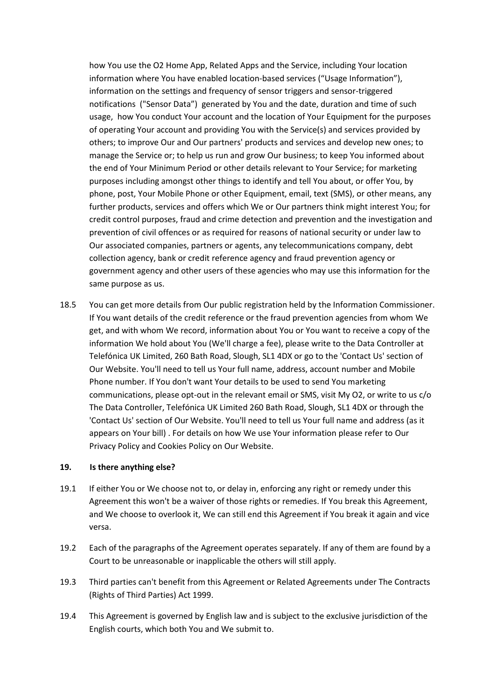how You use the O2 Home App, Related Apps and the Service, including Your location information where You have enabled location-based services ("Usage Information"), information on the settings and frequency of sensor triggers and sensor-triggered notifications ("Sensor Data") generated by You and the date, duration and time of such usage, how You conduct Your account and the location of Your Equipment for the purposes of operating Your account and providing You with the Service(s) and services provided by others; to improve Our and Our partners' products and services and develop new ones; to manage the Service or; to help us run and grow Our business; to keep You informed about the end of Your Minimum Period or other details relevant to Your Service; for marketing purposes including amongst other things to identify and tell You about, or offer You, by phone, post, Your Mobile Phone or other Equipment, email, text (SMS), or other means, any further products, services and offers which We or Our partners think might interest You; for credit control purposes, fraud and crime detection and prevention and the investigation and prevention of civil offences or as required for reasons of national security or under law to Our associated companies, partners or agents, any telecommunications company, debt collection agency, bank or credit reference agency and fraud prevention agency or government agency and other users of these agencies who may use this information for the same purpose as us.

18.5 You can get more details from Our public registration held by the Information Commissioner. If You want details of the credit reference or the fraud prevention agencies from whom We get, and with whom We record, information about You or You want to receive a copy of the information We hold about You (We'll charge a fee), please write to the Data Controller at Telefónica UK Limited, 260 Bath Road, Slough, SL1 4DX or go to the 'Contact Us' section of Our Website. You'll need to tell us Your full name, address, account number and Mobile Phone number. If You don't want Your details to be used to send You marketing communications, please opt-out in the relevant email or SMS, visit My O2, or write to us c/o The Data Controller, Telefónica UK Limited 260 Bath Road, Slough, SL1 4DX or through the 'Contact Us' section of Our Website. You'll need to tell us Your full name and address (as it appears on Your bill) . For details on how We use Your information please refer to Our Privacy Policy and Cookies Policy on Our Website.

#### **19. Is there anything else?**

- 19.1 If either You or We choose not to, or delay in, enforcing any right or remedy under this Agreement this won't be a waiver of those rights or remedies. If You break this Agreement, and We choose to overlook it, We can still end this Agreement if You break it again and vice versa.
- 19.2 Each of the paragraphs of the Agreement operates separately. If any of them are found by a Court to be unreasonable or inapplicable the others will still apply.
- 19.3 Third parties can't benefit from this Agreement or Related Agreements under The Contracts (Rights of Third Parties) Act 1999.
- 19.4 This Agreement is governed by English law and is subject to the exclusive jurisdiction of the English courts, which both You and We submit to.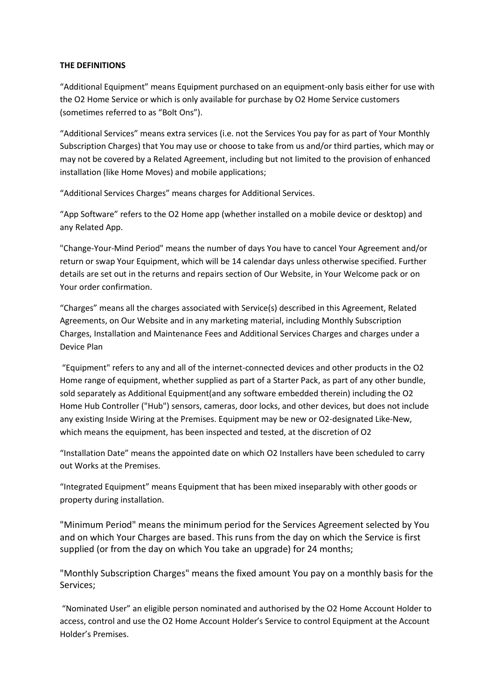### **THE DEFINITIONS**

"Additional Equipment" means Equipment purchased on an equipment-only basis either for use with the O2 Home Service or which is only available for purchase by O2 Home Service customers (sometimes referred to as "Bolt Ons").

"Additional Services" means extra services (i.e. not the Services You pay for as part of Your Monthly Subscription Charges) that You may use or choose to take from us and/or third parties, which may or may not be covered by a Related Agreement, including but not limited to the provision of enhanced installation (like Home Moves) and mobile applications;

"Additional Services Charges" means charges for Additional Services.

"App Software" refers to the O2 Home app (whether installed on a mobile device or desktop) and any Related App.

"Change-Your-Mind Period" means the number of days You have to cancel Your Agreement and/or return or swap Your Equipment, which will be 14 calendar days unless otherwise specified. Further details are set out in the returns and repairs section of Our Website, in Your Welcome pack or on Your order confirmation.

"Charges" means all the charges associated with Service(s) described in this Agreement, Related Agreements, on Our Website and in any marketing material, including Monthly Subscription Charges, Installation and Maintenance Fees and Additional Services Charges and charges under a Device Plan

"Equipment" refers to any and all of the internet-connected devices and other products in the O2 Home range of equipment, whether supplied as part of a Starter Pack, as part of any other bundle, sold separately as Additional Equipment(and any software embedded therein) including the O2 Home Hub Controller ("Hub") sensors, cameras, door locks, and other devices, but does not include any existing Inside Wiring at the Premises. Equipment may be new or O2-designated Like-New, which means the equipment, has been inspected and tested, at the discretion of O2

"Installation Date" means the appointed date on which O2 Installers have been scheduled to carry out Works at the Premises.

"Integrated Equipment" means Equipment that has been mixed inseparably with other goods or property during installation.

"Minimum Period" means the minimum period for the Services Agreement selected by You and on which Your Charges are based. This runs from the day on which the Service is first supplied (or from the day on which You take an upgrade) for 24 months;

"Monthly Subscription Charges" means the fixed amount You pay on a monthly basis for the Services;

"Nominated User" an eligible person nominated and authorised by the O2 Home Account Holder to access, control and use the O2 Home Account Holder's Service to control Equipment at the Account Holder's Premises.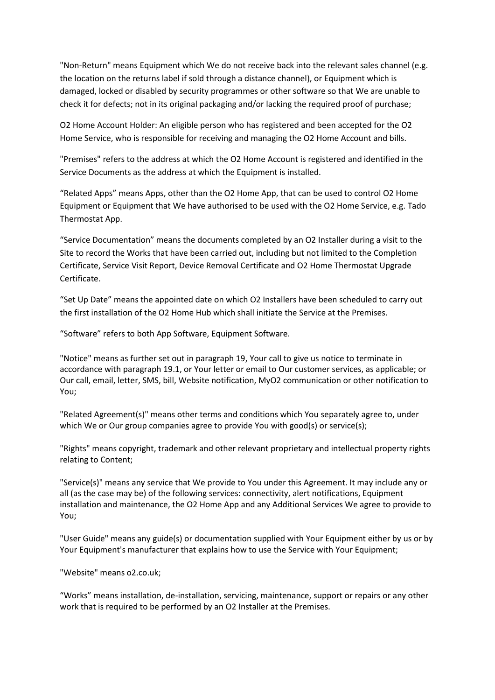"Non-Return" means Equipment which We do not receive back into the relevant sales channel (e.g. the location on the returns label if sold through a distance channel), or Equipment which is damaged, locked or disabled by security programmes or other software so that We are unable to check it for defects; not in its original packaging and/or lacking the required proof of purchase;

O2 Home Account Holder: An eligible person who has registered and been accepted for the O2 Home Service, who is responsible for receiving and managing the O2 Home Account and bills.

"Premises" refers to the address at which the O2 Home Account is registered and identified in the Service Documents as the address at which the Equipment is installed.

"Related Apps" means Apps, other than the O2 Home App, that can be used to control O2 Home Equipment or Equipment that We have authorised to be used with the O2 Home Service, e.g. Tado Thermostat App.

"Service Documentation" means the documents completed by an O2 Installer during a visit to the Site to record the Works that have been carried out, including but not limited to the Completion Certificate, Service Visit Report, Device Removal Certificate and O2 Home Thermostat Upgrade Certificate.

"Set Up Date" means the appointed date on which O2 Installers have been scheduled to carry out the first installation of the O2 Home Hub which shall initiate the Service at the Premises.

"Software" refers to both App Software, Equipment Software.

"Notice" means as further set out in paragraph 19, Your call to give us notice to terminate in accordance with paragraph 19.1, or Your letter or email to Our customer services, as applicable; or Our call, email, letter, SMS, bill, Website notification, MyO2 communication or other notification to You;

"Related Agreement(s)" means other terms and conditions which You separately agree to, under which We or Our group companies agree to provide You with good(s) or service(s);

"Rights" means copyright, trademark and other relevant proprietary and intellectual property rights relating to Content;

"Service(s)" means any service that We provide to You under this Agreement. It may include any or all (as the case may be) of the following services: connectivity, alert notifications, Equipment installation and maintenance, the O2 Home App and any Additional Services We agree to provide to You;

"User Guide" means any guide(s) or documentation supplied with Your Equipment either by us or by Your Equipment's manufacturer that explains how to use the Service with Your Equipment;

"Website" means o2.co.uk;

"Works" means installation, de-installation, servicing, maintenance, support or repairs or any other work that is required to be performed by an O2 Installer at the Premises.